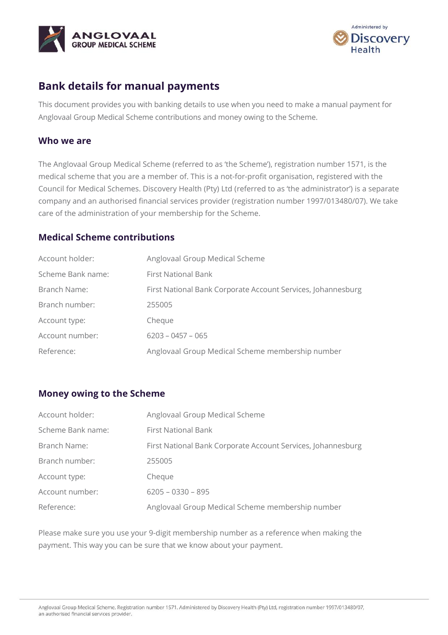



# **Bank details for manual payments**

This document provides you with banking details to use when you need to make a manual payment for Anglovaal Group Medical Scheme contributions and money owing to the Scheme.

#### **Who we are**

The Anglovaal Group Medical Scheme (referred to as 'the Scheme'), registration number 1571, is the medical scheme that you are a member of. This is a not-for-profit organisation, registered with the Council for Medical Schemes. Discovery Health (Pty) Ltd (referred to as 'the administrator') is a separate company and an authorised financial services provider (registration number 1997/013480/07). We take care of the administration of your membership for the Scheme.

### **Medical Scheme contributions**

| Account holder:   | Anglovaal Group Medical Scheme                               |
|-------------------|--------------------------------------------------------------|
| Scheme Bank name: | <b>First National Bank</b>                                   |
| Branch Name:      | First National Bank Corporate Account Services, Johannesburg |
| Branch number:    | 255005                                                       |
| Account type:     | Cheque                                                       |
| Account number:   | $6203 - 0457 - 065$                                          |
| Reference:        | Anglovaal Group Medical Scheme membership number             |

#### **Money owing to the Scheme**

| Account holder:   | Anglovaal Group Medical Scheme                               |
|-------------------|--------------------------------------------------------------|
| Scheme Bank name: | <b>First National Bank</b>                                   |
| Branch Name:      | First National Bank Corporate Account Services, Johannesburg |
| Branch number:    | 255005                                                       |
| Account type:     | Cheque                                                       |
| Account number:   | $6205 - 0330 - 895$                                          |
| Reference:        | Anglovaal Group Medical Scheme membership number             |

Please make sure you use your 9-digit membership number as a reference when making the payment. This way you can be sure that we know about your payment.